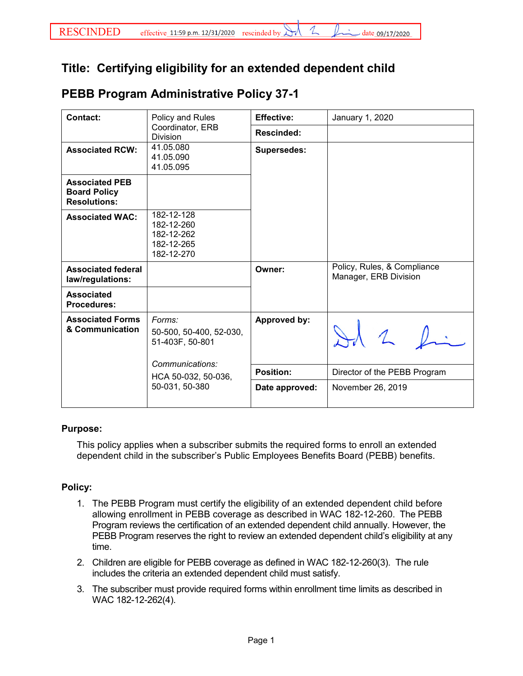## **Title: Certifying eligibility for an extended dependent child**

## **PEBB Program Administrative Policy 37-1**

| Contact:                                                            | Policy and Rules<br>Coordinator, ERB<br><b>Division</b>                 | <b>Effective:</b>  | January 1, 2020                                      |
|---------------------------------------------------------------------|-------------------------------------------------------------------------|--------------------|------------------------------------------------------|
|                                                                     |                                                                         | <b>Rescinded:</b>  |                                                      |
| <b>Associated RCW:</b>                                              | 41.05.080<br>41.05.090<br>41.05.095                                     | <b>Supersedes:</b> |                                                      |
| <b>Associated PEB</b><br><b>Board Policy</b><br><b>Resolutions:</b> |                                                                         |                    |                                                      |
| <b>Associated WAC:</b>                                              | 182-12-128<br>182-12-260<br>182-12-262<br>182-12-265<br>182-12-270      |                    |                                                      |
| <b>Associated federal</b><br>law/regulations:                       |                                                                         | Owner:             | Policy, Rules, & Compliance<br>Manager, ERB Division |
| <b>Associated</b><br><b>Procedures:</b>                             |                                                                         |                    |                                                      |
| <b>Associated Forms</b><br>& Communication                          | Forms:<br>50-500, 50-400, 52-030,<br>51-403F, 50-801<br>Communications: | Approved by:       |                                                      |
|                                                                     | HCA 50-032, 50-036,<br>50-031, 50-380                                   | <b>Position:</b>   | Director of the PEBB Program                         |
|                                                                     |                                                                         | Date approved:     | November 26, 2019                                    |

## **Purpose:**

This policy applies when a subscriber submits the required forms to enroll an extended dependent child in the subscriber's Public Employees Benefits Board (PEBB) benefits.

## **Policy:**

- 1. The PEBB Program must certify the eligibility of an extended dependent child before allowing enrollment in PEBB coverage as described in WAC 182-12-260. The PEBB Program reviews the certification of an extended dependent child annually. However, the PEBB Program reserves the right to review an extended dependent child's eligibility at any time.
- 2. Children are eligible for PEBB coverage as defined in WAC 182-12-260(3). The rule includes the criteria an extended dependent child must satisfy.
- 3. The subscriber must provide required forms within enrollment time limits as described in WAC 182-12-262(4).